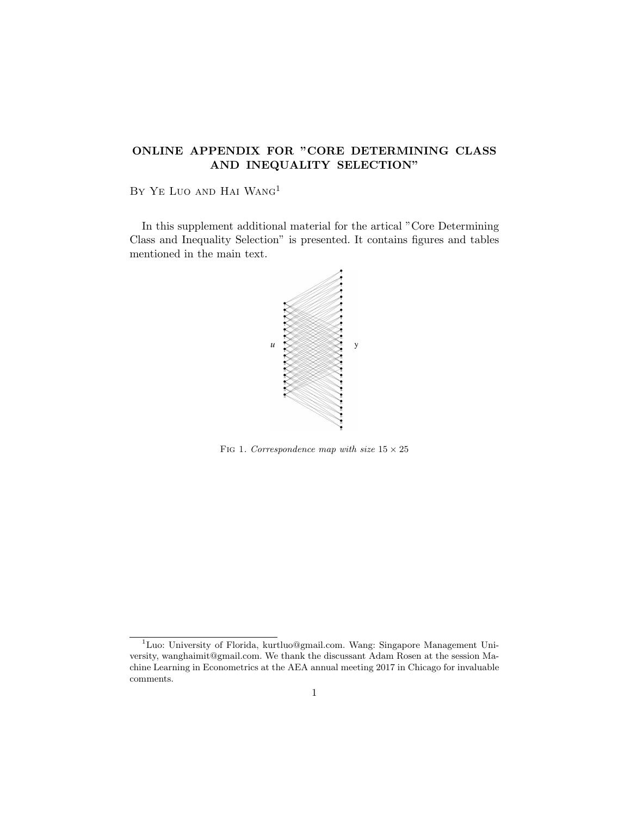## ONLINE APPENDIX FOR "CORE DETERMINING CLASS AND INEQUALITY SELECTION"

BY YE LUO AND HAI WANG<sup>1</sup>

In this supplement additional material for the artical "Core Determining Class and Inequality Selection" is presented. It contains figures and tables mentioned in the main text.



FIG 1. Correspondence map with size  $15 \times 25$ 

<sup>1</sup>Luo: University of Florida, kurtluo@gmail.com. Wang: Singapore Management University, wanghaimit@gmail.com. We thank the discussant Adam Rosen at the session Machine Learning in Econometrics at the AEA annual meeting 2017 in Chicago for invaluable comments.